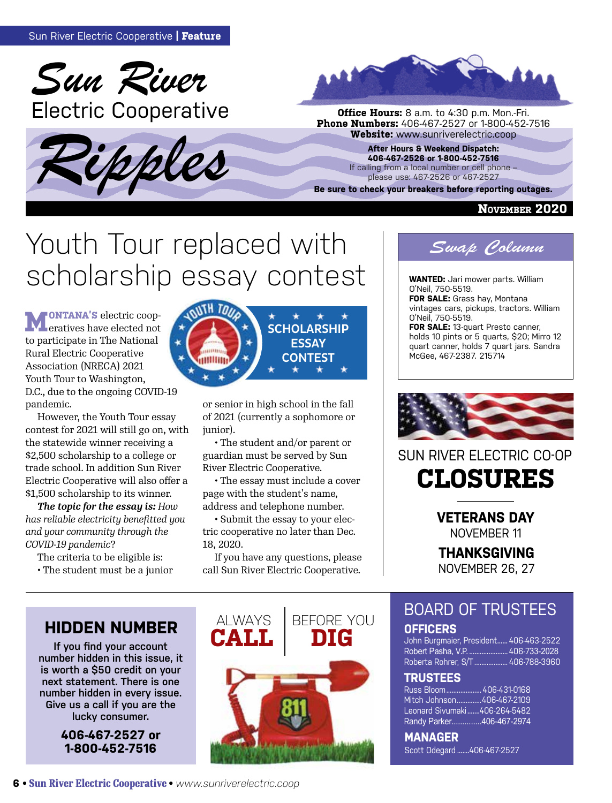





**Phone Numbers:** 406-467-2527 or 1-800-452-7516<br>**Website:** www.sunriverelectric.coop

**After Hours & Weekend Dispatch: 406-467-2526 or 1-800-452-7516** If calling from a local number or cell phone – please use: 467-2526 or 467-2527

**Be sure to check your breakers before reporting outages.**

#### **November 2020**

## Youth Tour replaced with Scholarship essay contest I wanted: Jari mower parts. William

**MONTANA'S** electric cooperatives have elected not to participate in The National Rural Electric Cooperative Association (NRECA) 2021 Youth Tour to Washington, D.C., due to the ongoing COVID-19 pandemic.

However, the Youth Tour essay contest for 2021 will still go on, with the statewide winner receiving a \$2,500 scholarship to a college or trade school. In addition Sun River Electric Cooperative will also offer a \$1,500 scholarship to its winner.

*The topic for the essay is: How has reliable electricity benefitted you and your community through the COVID-19 pandemic*?

The criteria to be eligible is:

• The student must be a junior



or senior in high school in the fall of 2021 (currently a sophomore or junior).

• The student and/or parent or guardian must be served by Sun River Electric Cooperative.

• The essay must include a cover page with the student's name, address and telephone number.

• Submit the essay to your electric cooperative no later than Dec. 18, 2020.

If you have any questions, please call Sun River Electric Cooperative.



O'Neil, 750-5519. **FOR SALE:** Grass hay, Montana vintages cars, pickups, tractors. William O'Neil, 750-5519. **FOR SALE:** 13-quart Presto canner,

holds 10 pints or 5 quarts, \$20; Mirro 12 quart canner, holds 7 quart jars. Sandra McGee, 467-2387. 215714



### **CLOSURES** SUN RIVER ELECTRIC CO-OP

**VETERANS DAY** NOVEMBER 11

**THANKSGIVING** NOVEMBER 26, 27

## **HIDDEN NUMBER ALWAYS**

**If you find your account number hidden in this issue, it is worth a \$50 credit on your next statement. There is one number hidden in every issue. Give us a call if you are the lucky consumer.**

> **406-467-2527 or 1-800-452-7516**



BOARD OF TRUSTEES **OFFICERS**

John Burgmaier, President...... 406-463-2522 Robert Pasha, V.P. ...................... 406-733-2028 Roberta Rohrer, S/T ................... 406-788-3960

#### **TRUSTEES**

Russ Bloom.................... 406-431-0168 Mitch Johnson..............406-467-2109 Leonard Sivumaki .......406-264-5482 Randy Parker ..............406-467-2974

**MANAGER**  Scott Odegard .......406-467-2527